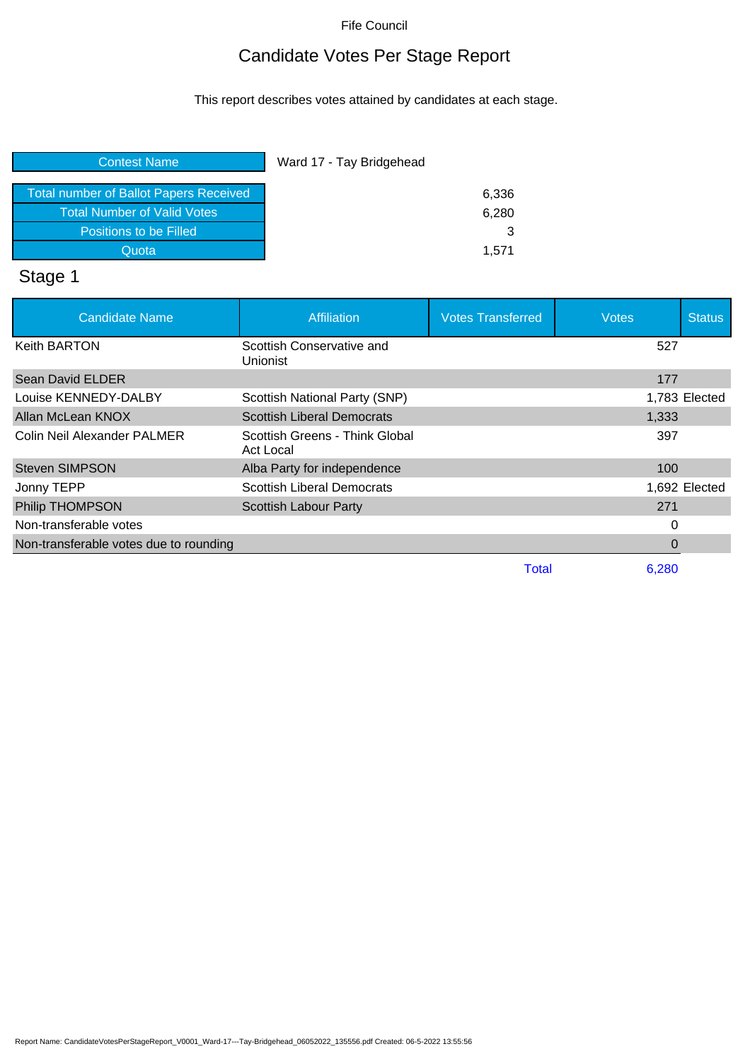## Candidate Votes Per Stage Report

This report describes votes attained by candidates at each stage.

| <b>Contest Name</b>                    | Ward 17 - Tay Bridgehead |
|----------------------------------------|--------------------------|
| Total number of Ballot Papers Received | 6,336                    |
| <b>Total Number of Valid Votes</b>     | 6,280                    |
| Positions to be Filled                 |                          |
| Quota                                  | 1.571                    |

# Stage 1

| <b>Candidate Name</b>                  | <b>Affiliation</b>                                 | <b>Votes Transferred</b> | <b>Votes</b> | <b>Status</b> |
|----------------------------------------|----------------------------------------------------|--------------------------|--------------|---------------|
| <b>Keith BARTON</b>                    | Scottish Conservative and<br>Unionist              |                          | 527          |               |
| Sean David ELDER                       |                                                    |                          | 177          |               |
| Louise KENNEDY-DALBY                   | Scottish National Party (SNP)                      |                          |              | 1,783 Elected |
| Allan McLean KNOX                      | <b>Scottish Liberal Democrats</b>                  |                          | 1,333        |               |
| Colin Neil Alexander PALMER            | Scottish Greens - Think Global<br><b>Act Local</b> |                          | 397          |               |
| <b>Steven SIMPSON</b>                  | Alba Party for independence                        |                          | 100          |               |
| Jonny TEPP                             | <b>Scottish Liberal Democrats</b>                  |                          |              | 1,692 Elected |
| <b>Philip THOMPSON</b>                 | <b>Scottish Labour Party</b>                       |                          | 271          |               |
| Non-transferable votes                 |                                                    |                          | 0            |               |
| Non-transferable votes due to rounding |                                                    |                          | 0            |               |
|                                        |                                                    | Total                    | 6,280        |               |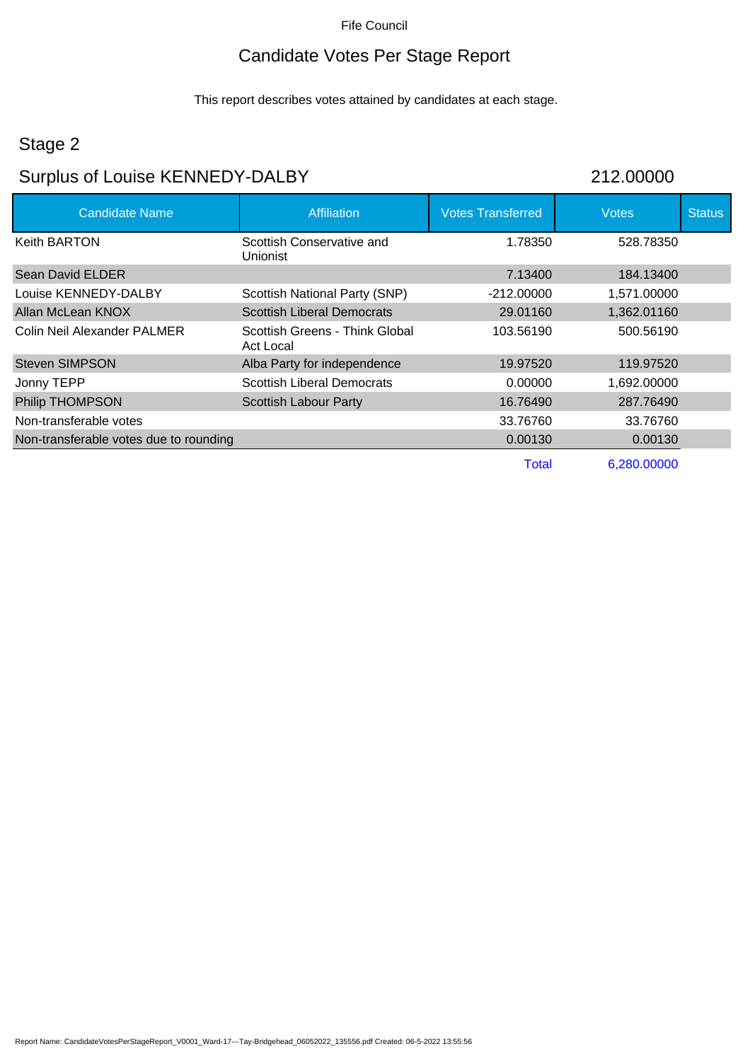## Candidate Votes Per Stage Report

This report describes votes attained by candidates at each stage.

#### Stage 2

# Surplus of Louise KENNEDY-DALBY 212.00000

| Candidate Name                         | Affiliation                                  | <b>Votes Transferred</b> | <b>Votes</b> | <b>Status</b> |
|----------------------------------------|----------------------------------------------|--------------------------|--------------|---------------|
| <b>Keith BARTON</b>                    | Scottish Conservative and<br><b>Unionist</b> | 1.78350                  | 528.78350    |               |
| Sean David ELDER                       |                                              | 7.13400                  | 184.13400    |               |
| Louise KENNEDY-DALBY                   | Scottish National Party (SNP)                | $-212,00000$             | 1,571.00000  |               |
| Allan McLean KNOX                      | <b>Scottish Liberal Democrats</b>            | 29.01160                 | 1,362.01160  |               |
| Colin Neil Alexander PALMER            | Scottish Greens - Think Global<br>Act Local  | 103.56190                | 500.56190    |               |
| <b>Steven SIMPSON</b>                  | Alba Party for independence                  | 19.97520                 | 119.97520    |               |
| Jonny TEPP                             | <b>Scottish Liberal Democrats</b>            | 0.00000                  | 1,692.00000  |               |
| Philip THOMPSON                        | <b>Scottish Labour Party</b>                 | 16.76490                 | 287.76490    |               |
| Non-transferable votes                 |                                              | 33.76760                 | 33.76760     |               |
| Non-transferable votes due to rounding |                                              | 0.00130                  | 0.00130      |               |
|                                        |                                              | Total                    | 6.280.00000  |               |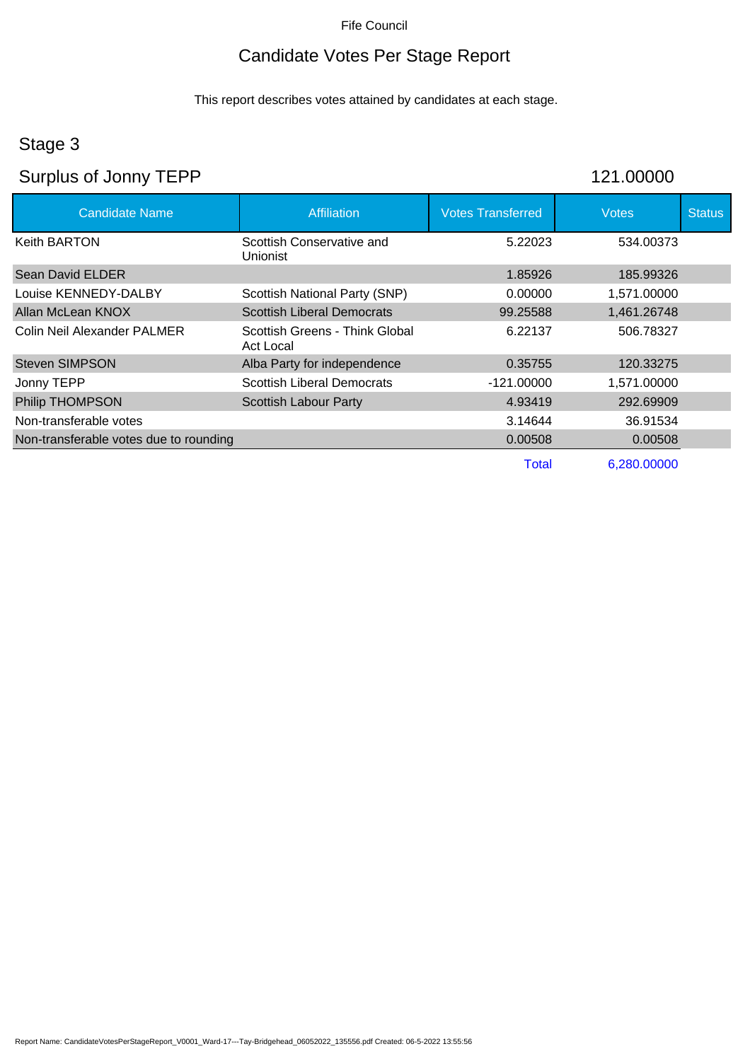## Candidate Votes Per Stage Report

This report describes votes attained by candidates at each stage.

## Stage 3

## Surplus of Jonny TEPP 121.00000

| <b>Candidate Name</b>                  | <b>Affiliation</b>                                 | <b>Votes Transferred</b> | <b>Votes</b> | <b>Status</b> |
|----------------------------------------|----------------------------------------------------|--------------------------|--------------|---------------|
| <b>Keith BARTON</b>                    | Scottish Conservative and<br>Unionist              | 5.22023                  | 534.00373    |               |
| Sean David ELDER                       |                                                    | 1.85926                  | 185.99326    |               |
| Louise KENNEDY-DALBY                   | Scottish National Party (SNP)                      | 0.00000                  | 1,571.00000  |               |
| Allan McLean KNOX                      | <b>Scottish Liberal Democrats</b>                  | 99.25588                 | 1,461.26748  |               |
| Colin Neil Alexander PALMER            | Scottish Greens - Think Global<br><b>Act Local</b> | 6.22137                  | 506.78327    |               |
| <b>Steven SIMPSON</b>                  | Alba Party for independence                        | 0.35755                  | 120.33275    |               |
| Jonny TEPP                             | <b>Scottish Liberal Democrats</b>                  | $-121.00000$             | 1,571.00000  |               |
| <b>Philip THOMPSON</b>                 | <b>Scottish Labour Party</b>                       | 4.93419                  | 292.69909    |               |
| Non-transferable votes                 |                                                    | 3.14644                  | 36.91534     |               |
| Non-transferable votes due to rounding |                                                    | 0.00508                  | 0.00508      |               |
|                                        |                                                    | Total                    | 6.280.00000  |               |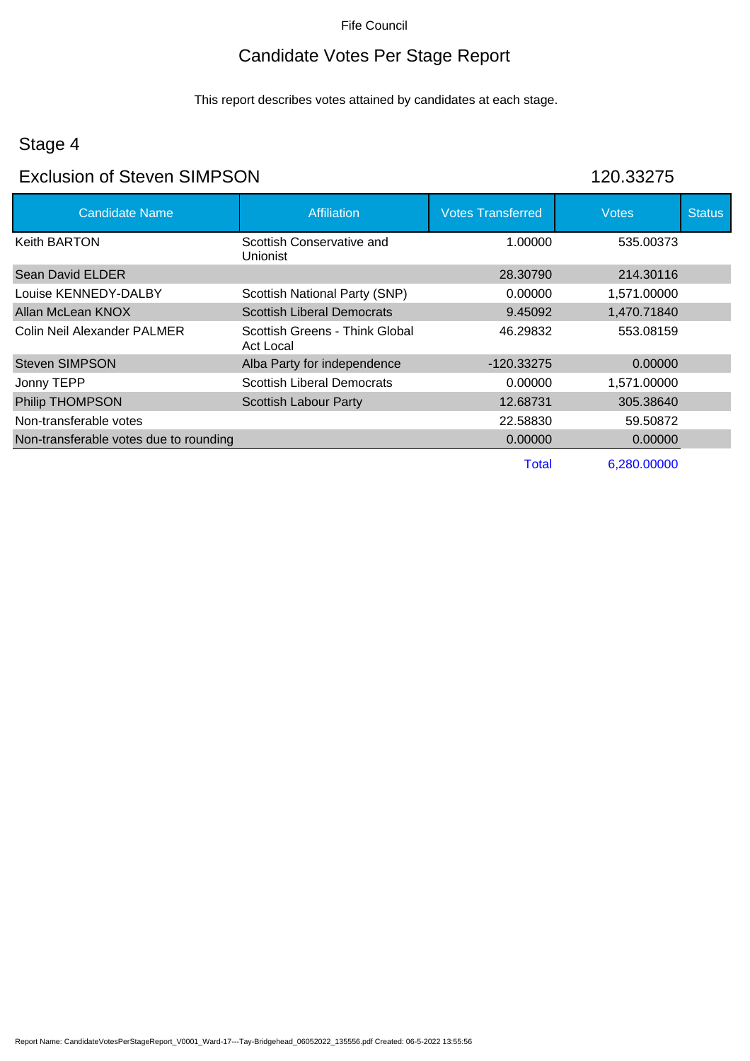## Candidate Votes Per Stage Report

This report describes votes attained by candidates at each stage.

## Stage 4

#### Exclusion of Steven SIMPSON 120.33275

| <b>Candidate Name</b>                  | <b>Affiliation</b>                                 | <b>Votes Transferred</b> | <b>Votes</b> | <b>Status</b> |
|----------------------------------------|----------------------------------------------------|--------------------------|--------------|---------------|
| <b>Keith BARTON</b>                    | Scottish Conservative and<br><b>Unionist</b>       | 1.00000                  | 535.00373    |               |
| Sean David ELDER                       |                                                    | 28.30790                 | 214.30116    |               |
| Louise KENNEDY-DALBY                   | Scottish National Party (SNP)                      | 0.00000                  | 1.571.00000  |               |
| Allan McLean KNOX                      | <b>Scottish Liberal Democrats</b>                  | 9.45092                  | 1,470.71840  |               |
| Colin Neil Alexander PALMER            | Scottish Greens - Think Global<br><b>Act Local</b> | 46.29832                 | 553.08159    |               |
| <b>Steven SIMPSON</b>                  | Alba Party for independence                        | $-120.33275$             | 0.00000      |               |
| Jonny TEPP                             | <b>Scottish Liberal Democrats</b>                  | 0.00000                  | 1,571.00000  |               |
| <b>Philip THOMPSON</b>                 | <b>Scottish Labour Party</b>                       | 12.68731                 | 305.38640    |               |
| Non-transferable votes                 |                                                    | 22.58830                 | 59.50872     |               |
| Non-transferable votes due to rounding |                                                    | 0.00000                  | 0.00000      |               |
|                                        |                                                    | Total                    | 6.280.00000  |               |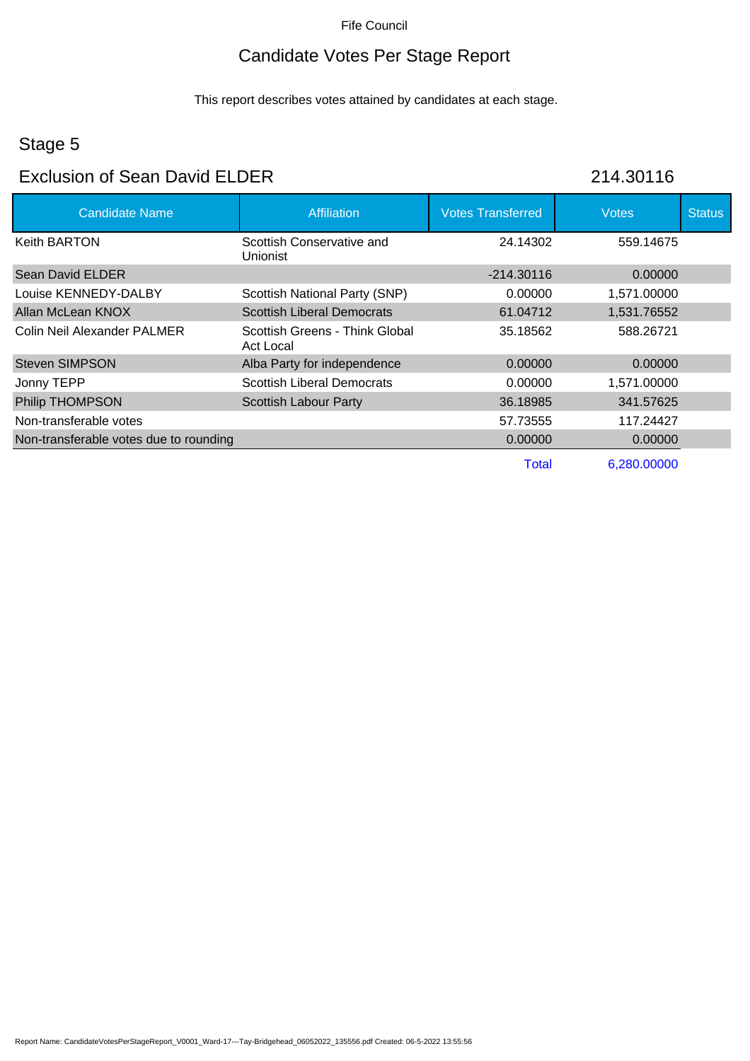## Candidate Votes Per Stage Report

This report describes votes attained by candidates at each stage.

## Stage 5

#### Exclusion of Sean David ELDER 214.30116

| <b>Candidate Name</b>                  | <b>Affiliation</b>                          | <b>Votes Transferred</b> | <b>Votes</b> | <b>Status</b> |
|----------------------------------------|---------------------------------------------|--------------------------|--------------|---------------|
| Keith BARTON                           | Scottish Conservative and<br>Unionist       | 24.14302                 | 559.14675    |               |
| Sean David ELDER                       |                                             | $-214.30116$             | 0.00000      |               |
| Louise KENNEDY-DALBY                   | Scottish National Party (SNP)               | 0.00000                  | 1,571.00000  |               |
| Allan McLean KNOX                      | <b>Scottish Liberal Democrats</b>           | 61.04712                 | 1,531.76552  |               |
| Colin Neil Alexander PALMER            | Scottish Greens - Think Global<br>Act Local | 35.18562                 | 588.26721    |               |
| <b>Steven SIMPSON</b>                  | Alba Party for independence                 | 0.00000                  | 0.00000      |               |
| Jonny TEPP                             | <b>Scottish Liberal Democrats</b>           | 0.00000                  | 1,571.00000  |               |
| Philip THOMPSON                        | <b>Scottish Labour Party</b>                | 36.18985                 | 341.57625    |               |
| Non-transferable votes                 |                                             | 57.73555                 | 117.24427    |               |
| Non-transferable votes due to rounding |                                             | 0.00000                  | 0.00000      |               |
|                                        |                                             | <b>Total</b>             | 6,280.00000  |               |